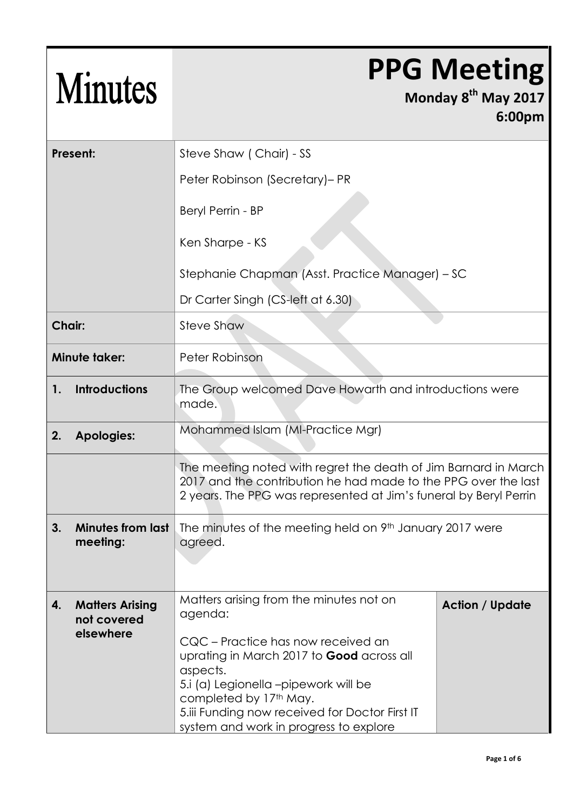| <b>Minutes</b>                     |                                                    |                                                                                                                                                                                                                                                                                                                         | <b>PPG Meeting</b><br>Monday 8 <sup>th</sup> May 2017<br>6:00pm |
|------------------------------------|----------------------------------------------------|-------------------------------------------------------------------------------------------------------------------------------------------------------------------------------------------------------------------------------------------------------------------------------------------------------------------------|-----------------------------------------------------------------|
|                                    | Present:                                           | Steve Shaw (Chair) - SS                                                                                                                                                                                                                                                                                                 |                                                                 |
|                                    |                                                    | Peter Robinson (Secretary)- PR                                                                                                                                                                                                                                                                                          |                                                                 |
|                                    |                                                    | Beryl Perrin - BP                                                                                                                                                                                                                                                                                                       |                                                                 |
|                                    |                                                    | Ken Sharpe - KS                                                                                                                                                                                                                                                                                                         |                                                                 |
|                                    |                                                    | Stephanie Chapman (Asst. Practice Manager) - SC                                                                                                                                                                                                                                                                         |                                                                 |
|                                    |                                                    | Dr Carter Singh (CS-left at 6.30)                                                                                                                                                                                                                                                                                       |                                                                 |
| <b>Chair:</b><br><b>Steve Shaw</b> |                                                    |                                                                                                                                                                                                                                                                                                                         |                                                                 |
|                                    | <b>Minute taker:</b>                               | Peter Robinson                                                                                                                                                                                                                                                                                                          |                                                                 |
| 1.                                 | <b>Introductions</b>                               | The Group welcomed Dave Howarth and introductions were<br>made.                                                                                                                                                                                                                                                         |                                                                 |
| 2.                                 | <b>Apologies:</b>                                  | Mohammed Islam (MI-Practice Mgr)                                                                                                                                                                                                                                                                                        |                                                                 |
|                                    |                                                    | The meeting noted with regret the death of Jim Barnard in March<br>2017 and the contribution he had made to the PPG over the last<br>2 years. The PPG was represented at Jim's funeral by Beryl Perrin                                                                                                                  |                                                                 |
| 3.                                 | <b>Minutes from last</b><br>meeting:               | The minutes of the meeting held on 9 <sup>th</sup> January 2017 were<br>agreed.                                                                                                                                                                                                                                         |                                                                 |
| 4.                                 | <b>Matters Arising</b><br>not covered<br>elsewhere | Matters arising from the minutes not on<br>agenda:<br>CQC – Practice has now received an<br>uprating in March 2017 to <b>Good</b> across all<br>aspects.<br>5.i (a) Legionella –pipework will be<br>completed by 17th May.<br>5. iii Funding now received for Doctor First IT<br>system and work in progress to explore | <b>Action / Update</b>                                          |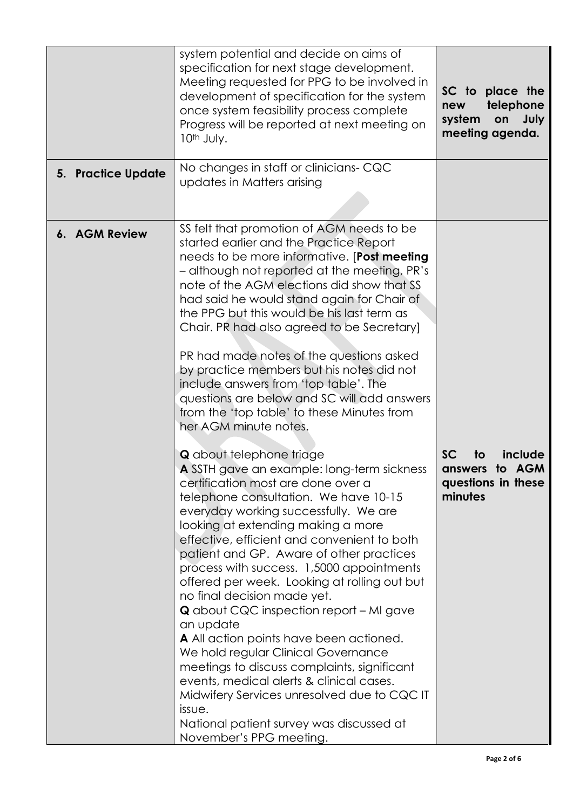|                           | system potential and decide on aims of<br>specification for next stage development.<br>Meeting requested for PPG to be involved in<br>development of specification for the system<br>once system feasibility process complete<br>Progress will be reported at next meeting on<br>10th July.                                                                                                                                                                                                                                                                                                                                                                                                                                                                                                                                                                                                                                                                                                                                                                                                                                                                                                                                                                                                                                                                                                                                                                                           | SC to place the<br>telephone<br>new<br>system<br>on<br>July<br>meeting agenda.   |
|---------------------------|---------------------------------------------------------------------------------------------------------------------------------------------------------------------------------------------------------------------------------------------------------------------------------------------------------------------------------------------------------------------------------------------------------------------------------------------------------------------------------------------------------------------------------------------------------------------------------------------------------------------------------------------------------------------------------------------------------------------------------------------------------------------------------------------------------------------------------------------------------------------------------------------------------------------------------------------------------------------------------------------------------------------------------------------------------------------------------------------------------------------------------------------------------------------------------------------------------------------------------------------------------------------------------------------------------------------------------------------------------------------------------------------------------------------------------------------------------------------------------------|----------------------------------------------------------------------------------|
| <b>5. Practice Update</b> | No changes in staff or clinicians- CQC<br>updates in Matters arising                                                                                                                                                                                                                                                                                                                                                                                                                                                                                                                                                                                                                                                                                                                                                                                                                                                                                                                                                                                                                                                                                                                                                                                                                                                                                                                                                                                                                  |                                                                                  |
| 6. AGM Review             | SS felt that promotion of AGM needs to be<br>started earlier and the Practice Report<br>needs to be more informative. [Post meeting<br>- although not reported at the meeting, PR's<br>note of the AGM elections did show that SS<br>had said he would stand again for Chair of<br>the PPG but this would be his last term as<br>Chair. PR had also agreed to be Secretary]<br>PR had made notes of the questions asked<br>by practice members but his notes did not<br>include answers from 'top table'. The<br>questions are below and SC will add answers<br>from the 'top table' to these Minutes from<br>her AGM minute notes.<br><b>Q</b> about telephone triage<br>A SSTH gave an example: long-term sickness<br>certification most are done over a<br>telephone consultation. We have 10-15<br>everyday working successfully. We are<br>looking at extending making a more<br>effective, efficient and convenient to both<br>patient and GP. Aware of other practices<br>process with success. 1,5000 appointments<br>offered per week. Looking at rolling out but<br>no final decision made yet.<br><b>Q</b> about CQC inspection report – MI gave<br>an update<br>A All action points have been actioned.<br>We hold regular Clinical Governance<br>meetings to discuss complaints, significant<br>events, medical alerts & clinical cases.<br>Midwifery Services unresolved due to CQC IT<br>issue.<br>National patient survey was discussed at<br>November's PPG meeting. | <b>SC</b><br>include<br>to<br>to AGM<br>answers<br>questions in these<br>minutes |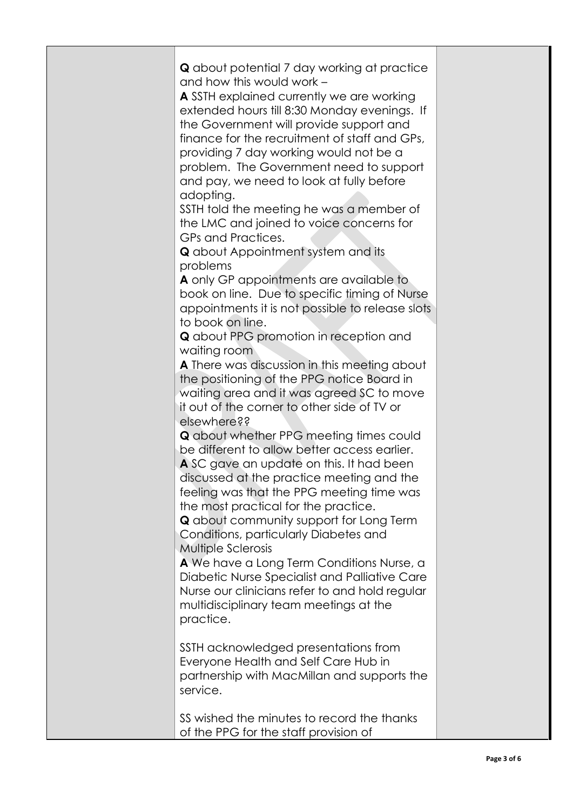| <b>Q</b> about potential 7 day working at practice<br>and how this would work -<br>A SSTH explained currently we are working<br>extended hours till 8:30 Monday evenings. If<br>the Government will provide support and<br>finance for the recruitment of staff and GPs,<br>providing 7 day working would not be a<br>problem. The Government need to support<br>and pay, we need to look at fully before<br>adopting.<br>SSTH told the meeting he was a member of<br>the LMC and joined to voice concerns for<br>GPs and Practices.<br><b>Q</b> about Appointment system and its<br>problems<br>A only GP appointments are available to<br>book on line. Due to specific timing of Nurse<br>appointments it is not possible to release slots<br>to book on line.<br><b>Q</b> about PPG promotion in reception and<br>waiting room<br>A There was discussion in this meeting about<br>the positioning of the PPG notice Board in<br>waiting area and it was agreed SC to move<br>it out of the corner to other side of TV or<br>elsewhere??<br><b>Q</b> about whether PPG meeting times could<br>be different to allow better access earlier.<br>A SC gave an update on this. It had been<br>discussed at the practice meeting and the<br>feeling was that the PPG meeting time was<br>the most practical for the practice.<br><b>Q</b> about community support for Long Term<br>Conditions, particularly Diabetes and<br><b>Multiple Sclerosis</b><br>A We have a Long Term Conditions Nurse, a<br>Diabetic Nurse Specialist and Palliative Care<br>Nurse our clinicians refer to and hold regular<br>multidisciplinary team meetings at the<br>practice.<br>SSTH acknowledged presentations from<br>Everyone Health and Self Care Hub in |  |
|--------------------------------------------------------------------------------------------------------------------------------------------------------------------------------------------------------------------------------------------------------------------------------------------------------------------------------------------------------------------------------------------------------------------------------------------------------------------------------------------------------------------------------------------------------------------------------------------------------------------------------------------------------------------------------------------------------------------------------------------------------------------------------------------------------------------------------------------------------------------------------------------------------------------------------------------------------------------------------------------------------------------------------------------------------------------------------------------------------------------------------------------------------------------------------------------------------------------------------------------------------------------------------------------------------------------------------------------------------------------------------------------------------------------------------------------------------------------------------------------------------------------------------------------------------------------------------------------------------------------------------------------------------------------------------------------------------------------------------------------|--|
| partnership with MacMillan and supports the<br>service.                                                                                                                                                                                                                                                                                                                                                                                                                                                                                                                                                                                                                                                                                                                                                                                                                                                                                                                                                                                                                                                                                                                                                                                                                                                                                                                                                                                                                                                                                                                                                                                                                                                                                    |  |
| SS wished the minutes to record the thanks<br>of the PPG for the staff provision of                                                                                                                                                                                                                                                                                                                                                                                                                                                                                                                                                                                                                                                                                                                                                                                                                                                                                                                                                                                                                                                                                                                                                                                                                                                                                                                                                                                                                                                                                                                                                                                                                                                        |  |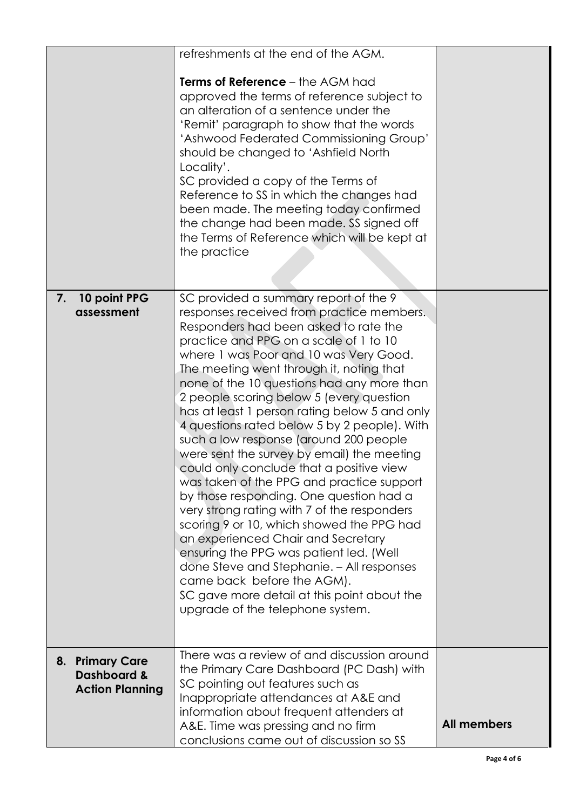|    |                                                                     | refreshments at the end of the AGM.<br><b>Terms of Reference - the AGM had</b><br>approved the terms of reference subject to<br>an alteration of a sentence under the<br>'Remit' paragraph to show that the words<br>'Ashwood Federated Commissioning Group'<br>should be changed to 'Ashfield North<br>Locality'.<br>SC provided a copy of the Terms of<br>Reference to SS in which the changes had<br>been made. The meeting today confirmed<br>the change had been made. SS signed off<br>the Terms of Reference which will be kept at<br>the practice                                                                                                                                                                                                                                                                                                                                                                                                                                                                     |                    |
|----|---------------------------------------------------------------------|-------------------------------------------------------------------------------------------------------------------------------------------------------------------------------------------------------------------------------------------------------------------------------------------------------------------------------------------------------------------------------------------------------------------------------------------------------------------------------------------------------------------------------------------------------------------------------------------------------------------------------------------------------------------------------------------------------------------------------------------------------------------------------------------------------------------------------------------------------------------------------------------------------------------------------------------------------------------------------------------------------------------------------|--------------------|
| 7. | 10 point PPG<br>assessment                                          | SC provided a summary report of the 9<br>responses received from practice members.<br>Responders had been asked to rate the<br>practice and PPG on a scale of 1 to 10<br>where 1 was Poor and 10 was Very Good.<br>The meeting went through it, noting that<br>none of the 10 questions had any more than<br>2 people scoring below 5 (every question<br>has at least 1 person rating below 5 and only<br>4 questions rated below 5 by 2 people). With<br>such a low response (around 200 people<br>were sent the survey by email) the meeting<br>could only conclude that a positive view<br>was taken of the PPG and practice support<br>by those responding. One question had a<br>very strong rating with 7 of the responders<br>scoring 9 or 10, which showed the PPG had<br>an experienced Chair and Secretary<br>ensuring the PPG was patient led. (Well<br>done Steve and Stephanie. - All responses<br>came back before the AGM).<br>SC gave more detail at this point about the<br>upgrade of the telephone system. |                    |
|    | 8. Primary Care<br><b>Dashboard &amp;</b><br><b>Action Planning</b> | There was a review of and discussion around<br>the Primary Care Dashboard (PC Dash) with<br>SC pointing out features such as<br>Inappropriate attendances at A&E and<br>information about frequent attenders at<br>A&E. Time was pressing and no firm<br>conclusions came out of discussion so SS                                                                                                                                                                                                                                                                                                                                                                                                                                                                                                                                                                                                                                                                                                                             | <b>All members</b> |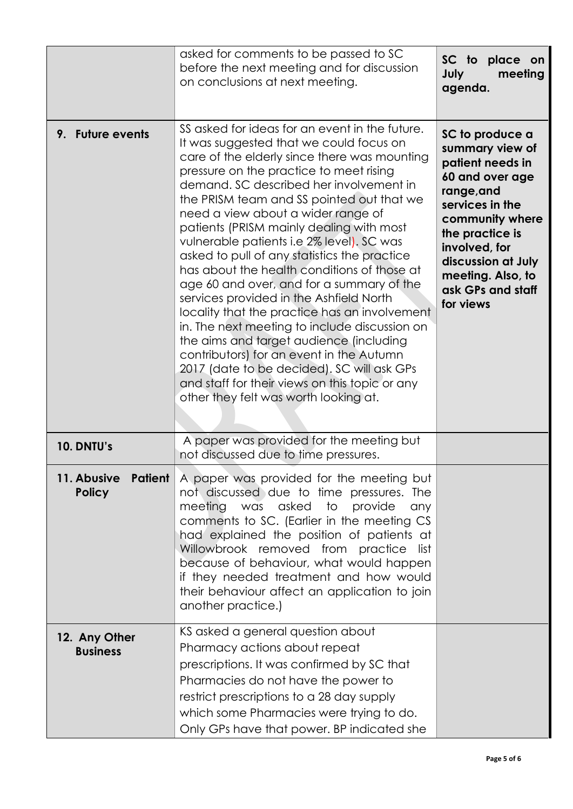|                                         | asked for comments to be passed to SC<br>before the next meeting and for discussion<br>on conclusions at next meeting.                                                                                                                                                                                                                                                                                                                                                                                                                                                                                                                                                                                                                                                                                                                                                                                                               | SC to place on<br>July<br>meeting<br>agenda.                                                                                                                                                                                                   |
|-----------------------------------------|--------------------------------------------------------------------------------------------------------------------------------------------------------------------------------------------------------------------------------------------------------------------------------------------------------------------------------------------------------------------------------------------------------------------------------------------------------------------------------------------------------------------------------------------------------------------------------------------------------------------------------------------------------------------------------------------------------------------------------------------------------------------------------------------------------------------------------------------------------------------------------------------------------------------------------------|------------------------------------------------------------------------------------------------------------------------------------------------------------------------------------------------------------------------------------------------|
| 9. Future events                        | SS asked for ideas for an event in the future.<br>It was suggested that we could focus on<br>care of the elderly since there was mounting<br>pressure on the practice to meet rising<br>demand. SC described her involvement in<br>the PRISM team and SS pointed out that we<br>need a view about a wider range of<br>patients (PRISM mainly dealing with most<br>vulnerable patients i.e 2% level). SC was<br>asked to pull of any statistics the practice<br>has about the health conditions of those at<br>age 60 and over, and for a summary of the<br>services provided in the Ashfield North<br>locality that the practice has an involvement<br>in. The next meeting to include discussion on<br>the aims and target audience (including<br>contributors) for an event in the Autumn<br>2017 (date to be decided). SC will ask GPs<br>and staff for their views on this topic or any<br>other they felt was worth looking at. | SC to produce a<br>summary view of<br>patient needs in<br>60 and over age<br>range, and<br>services in the<br>community where<br>the practice is<br>involved, for<br>discussion at July<br>meeting. Also, to<br>ask GPs and staff<br>for views |
| 10. DNTU's                              | A paper was provided for the meeting but<br>not discussed due to time pressures.                                                                                                                                                                                                                                                                                                                                                                                                                                                                                                                                                                                                                                                                                                                                                                                                                                                     |                                                                                                                                                                                                                                                |
| 11. Abusive<br>Patient<br><b>Policy</b> | A paper was provided for the meeting but<br>not discussed due to time pressures. The<br>meeting<br>was asked<br>to<br>provide<br>any<br>comments to SC. (Earlier in the meeting CS<br>had explained the position of patients at<br>Willowbrook removed from practice<br>list<br>because of behaviour, what would happen<br>if they needed treatment and how would<br>their behaviour affect an application to join<br>another practice.)                                                                                                                                                                                                                                                                                                                                                                                                                                                                                             |                                                                                                                                                                                                                                                |
| 12. Any Other<br><b>Business</b>        | KS asked a general question about<br>Pharmacy actions about repeat<br>prescriptions. It was confirmed by SC that<br>Pharmacies do not have the power to<br>restrict prescriptions to a 28 day supply<br>which some Pharmacies were trying to do.<br>Only GPs have that power. BP indicated she                                                                                                                                                                                                                                                                                                                                                                                                                                                                                                                                                                                                                                       |                                                                                                                                                                                                                                                |